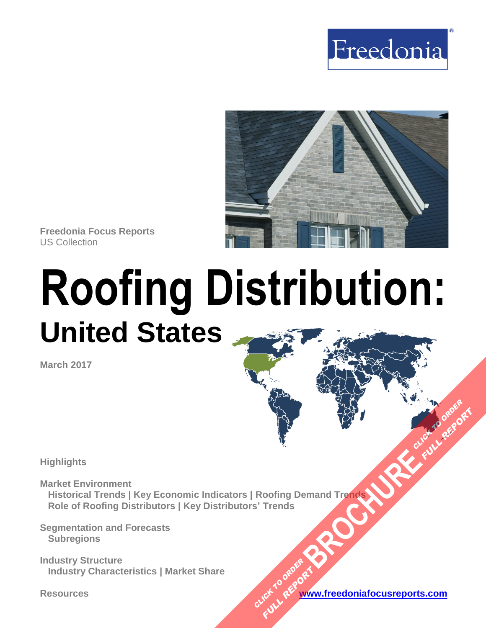



**Freedonia Focus Reports** US Collection

# **Roofing Distribution: United States**

**March 2017**

**Highlights**

**Market Environment Historical Trends | Key Economic Indicators | Roofing Demand Trends Role of Roofing Distributors | Key Distributors' Trends BROAD TIGHTS AND THE TOWN TO ORDER** 

**Segmentation and Forecasts Subregions**

**Industry Structure Industry Characteristics | Market Share**

**Resources [www.freedoniafocusreports.com](https://www.freedoniafocusreports.com/redirect.asp?progid=89541&url=/)** CLICK TO ORDER **FULL REPORT** 

**FULL REPORT**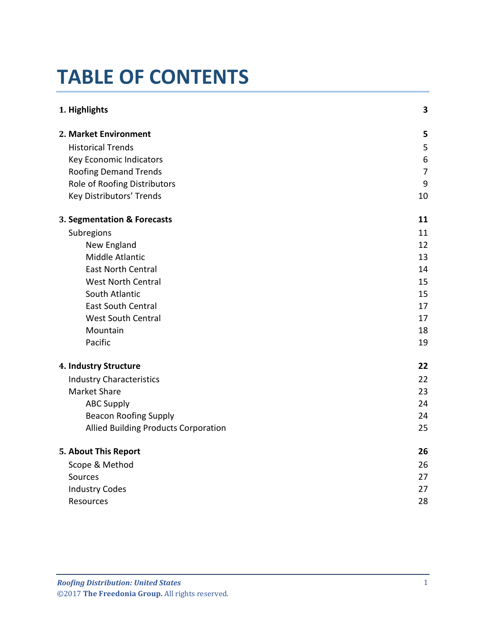# **TABLE OF CONTENTS**

| 1. Highlights                               | $\overline{\mathbf{3}}$ |
|---------------------------------------------|-------------------------|
| 2. Market Environment                       | 5                       |
| <b>Historical Trends</b>                    | 5                       |
| Key Economic Indicators                     | $6\,$                   |
| <b>Roofing Demand Trends</b>                | $\overline{7}$          |
| Role of Roofing Distributors                | 9                       |
| Key Distributors' Trends                    | 10                      |
| 3. Segmentation & Forecasts                 | 11                      |
| Subregions                                  | 11                      |
| New England                                 | 12                      |
| Middle Atlantic                             | 13                      |
| <b>East North Central</b>                   | 14                      |
| <b>West North Central</b>                   | 15                      |
| South Atlantic                              | 15                      |
| <b>East South Central</b>                   | 17                      |
| <b>West South Central</b>                   | 17                      |
| Mountain                                    | 18                      |
| Pacific                                     | 19                      |
| 4. Industry Structure                       | 22                      |
| <b>Industry Characteristics</b>             | 22                      |
| <b>Market Share</b>                         | 23                      |
| <b>ABC Supply</b>                           | 24                      |
| <b>Beacon Roofing Supply</b>                | 24                      |
| <b>Allied Building Products Corporation</b> | 25                      |
| 5. About This Report                        | 26                      |
| Scope & Method                              | 26                      |
| Sources                                     | 27                      |
| <b>Industry Codes</b>                       | 27                      |
| Resources                                   | 28                      |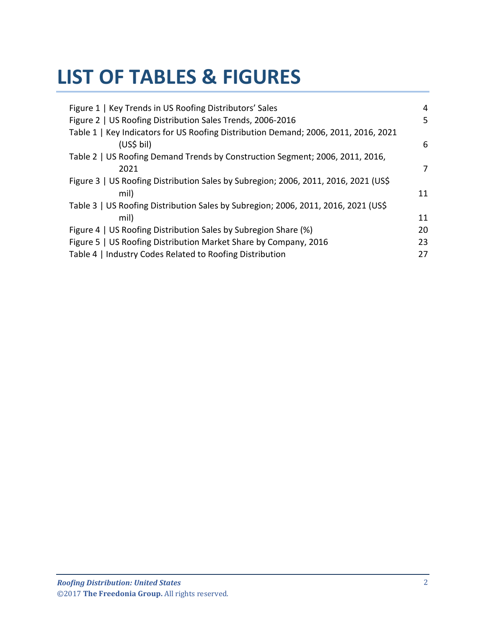# **LIST OF TABLES & FIGURES**

| Figure 1   Key Trends in US Roofing Distributors' Sales                                           | 4  |
|---------------------------------------------------------------------------------------------------|----|
| Figure 2   US Roofing Distribution Sales Trends, 2006-2016                                        | 5  |
| Table 1   Key Indicators for US Roofing Distribution Demand; 2006, 2011, 2016, 2021<br>(US\$ bil) | 6  |
| Table 2   US Roofing Demand Trends by Construction Segment; 2006, 2011, 2016,<br>2021             | 7  |
| Figure 3   US Roofing Distribution Sales by Subregion; 2006, 2011, 2016, 2021 (US\$)<br>mil)      | 11 |
| Table 3   US Roofing Distribution Sales by Subregion; 2006, 2011, 2016, 2021 (US\$<br>mil)        | 11 |
| Figure 4   US Roofing Distribution Sales by Subregion Share (%)                                   | 20 |
| Figure 5   US Roofing Distribution Market Share by Company, 2016                                  | 23 |
| Table 4   Industry Codes Related to Roofing Distribution                                          | 27 |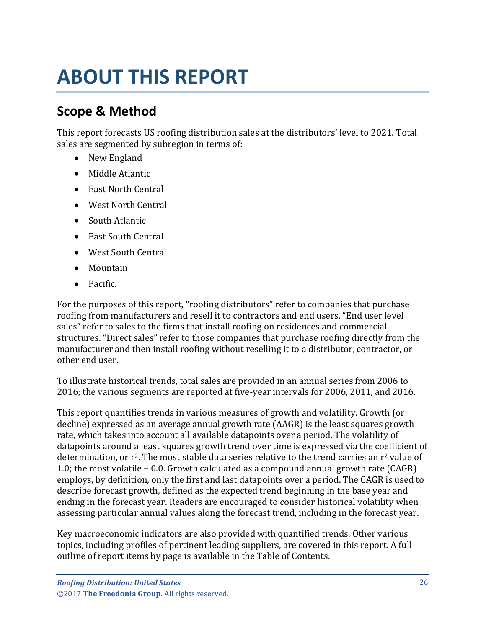# <span id="page-3-0"></span>**ABOUT THIS REPORT**

# <span id="page-3-1"></span>**Scope & Method**

This report forecasts US roofing distribution sales at the distributors' level to 2021. Total sales are segmented by subregion in terms of:

- New England
- Middle Atlantic
- East North Central
- West North Central
- South Atlantic
- East South Central
- West South Central
- Mountain
- Pacific.

For the purposes of this report, "roofing distributors" refer to companies that purchase roofing from manufacturers and resell it to contractors and end users. "End user level sales" refer to sales to the firms that install roofing on residences and commercial structures. "Direct sales" refer to those companies that purchase roofing directly from the manufacturer and then install roofing without reselling it to a distributor, contractor, or other end user.

To illustrate historical trends, total sales are provided in an annual series from 2006 to 2016; the various segments are reported at five-year intervals for 2006, 2011, and 2016.

This report quantifies trends in various measures of growth and volatility. Growth (or decline) expressed as an average annual growth rate (AAGR) is the least squares growth rate, which takes into account all available datapoints over a period. The volatility of datapoints around a least squares growth trend over time is expressed via the coefficient of determination, or r<sup>2</sup>. The most stable data series relative to the trend carries an r<sup>2</sup> value of 1.0; the most volatile – 0.0. Growth calculated as a compound annual growth rate (CAGR) employs, by definition, only the first and last datapoints over a period. The CAGR is used to describe forecast growth, defined as the expected trend beginning in the base year and ending in the forecast year. Readers are encouraged to consider historical volatility when assessing particular annual values along the forecast trend, including in the forecast year.

Key macroeconomic indicators are also provided with quantified trends. Other various topics, including profiles of pertinent leading suppliers, are covered in this report. A full outline of report items by page is available in the Table of Contents.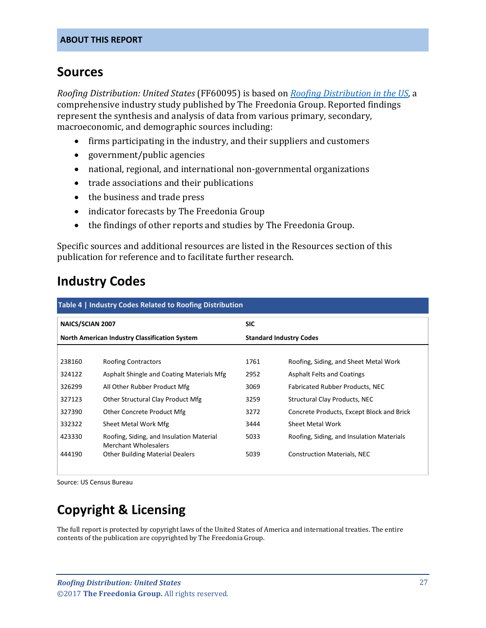## <span id="page-4-0"></span>**Sources**

*Roofing Distribution: United States* (FF60095) is based on *[Roofing Distribution in the US,](http://www.freedoniagroup.com/DocumentDetails.aspx?ReferrerId=FL-FOCUS&studyid=3497)* a comprehensive industry study published by The Freedonia Group. Reported findings represent the synthesis and analysis of data from various primary, secondary, macroeconomic, and demographic sources including:

- firms participating in the industry, and their suppliers and customers
- government/public agencies
- national, regional, and international non-governmental organizations
- trade associations and their publications
- the business and trade press
- indicator forecasts by The Freedonia Group
- the findings of other reports and studies by The Freedonia Group.

Specific sources and additional resources are listed in the Resources section of this publication for reference and to facilitate further research.

# <span id="page-4-1"></span>**Industry Codes**

<span id="page-4-2"></span>

| Table 4   Industry Codes Related to Roofing Distribution |                                                                                        |            |                                           |  |
|----------------------------------------------------------|----------------------------------------------------------------------------------------|------------|-------------------------------------------|--|
| <b>NAICS/SCIAN 2007</b>                                  |                                                                                        | <b>SIC</b> |                                           |  |
|                                                          | <b>North American Industry Classification System</b><br><b>Standard Industry Codes</b> |            |                                           |  |
|                                                          |                                                                                        |            |                                           |  |
| 238160                                                   | <b>Roofing Contractors</b>                                                             | 1761       | Roofing, Siding, and Sheet Metal Work     |  |
| 324122                                                   | Asphalt Shingle and Coating Materials Mfg                                              | 2952       | Asphalt Felts and Coatings                |  |
| 326299                                                   | All Other Rubber Product Mfg                                                           | 3069       | Fabricated Rubber Products, NEC           |  |
| 327123                                                   | Other Structural Clay Product Mfg                                                      | 3259       | Structural Clay Products, NEC             |  |
| 327390                                                   | Other Concrete Product Mfg                                                             | 3272       | Concrete Products, Except Block and Brick |  |
| 332322                                                   | Sheet Metal Work Mfg                                                                   | 3444       | Sheet Metal Work                          |  |
| 423330                                                   | Roofing, Siding, and Insulation Material<br><b>Merchant Wholesalers</b>                | 5033       | Roofing, Siding, and Insulation Materials |  |
| 444190                                                   | <b>Other Building Material Dealers</b>                                                 | 5039       | <b>Construction Materials, NEC</b>        |  |

Source: US Census Bureau

# **Copyright & Licensing**

The full report is protected by copyright laws of the United States of America and international treaties. The entire contents of the publication are copyrighted by The Freedonia Group.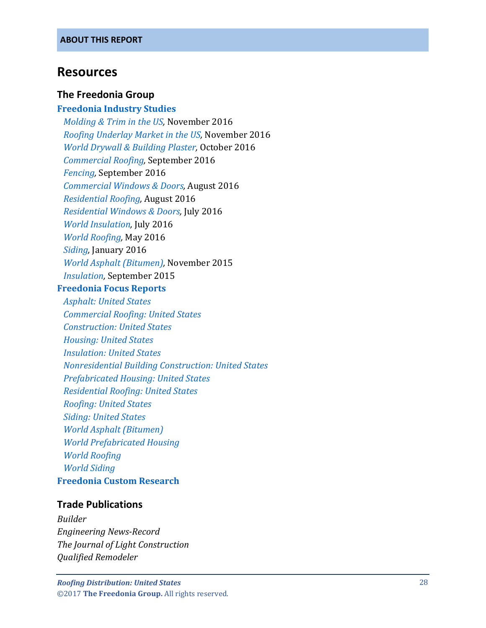## <span id="page-5-0"></span>**Resources**

#### **The Freedonia Group**

#### **[Freedonia Industry Studies](http://www.freedoniagroup.com/Home.aspx?ReferrerId=FL-Focus)**

 *[Molding & Trim in the US,](http://www.freedoniagroup.com/DocumentDetails.aspx?ReferrerId=FL-FOCUS&studyid=3474)* November 2016  *[Roofing Underlay Market in the US,](http://www.freedoniagroup.com/DocumentDetails.aspx?ReferrerId=FL-FOCUS&studyid=3473)* November 2016  *[World Drywall & Building Plaster,](http://www.freedoniagroup.com/DocumentDetails.aspx?ReferrerId=FL-FOCUS&studyid=3464)* October 2016  *[Commercial Roofing,](http://www.freedoniagroup.com/DocumentDetails.aspx?ReferrerId=FL-FOCUS&studyid=3452)* September 2016  *[Fencing,](http://www.freedoniagroup.com/DocumentDetails.aspx?ReferrerId=FL-FOCUS&studyid=3453)* September 2016  *[Commercial Windows & Doors,](http://www.freedoniagroup.com/DocumentDetails.aspx?ReferrerId=FL-FOCUS&studyid=3441)* August 2016  *[Residential Roofing,](http://www.freedoniagroup.com/DocumentDetails.aspx?ReferrerId=FL-FOCUS&studyid=3436)* August 2016  *[Residential Windows & Doors,](http://www.freedoniagroup.com/DocumentDetails.aspx?ReferrerId=FL-FOCUS&studyid=3427)* July 2016  *[World Insulation](http://www.freedoniagroup.com/DocumentDetails.aspx?ReferrerId=FL-FOCUS&studyid=3435) ,* July 2016  *[World Roofing,](http://www.freedoniagroup.com/DocumentDetails.aspx?ReferrerId=FL-FOCUS&studyid=3399)* May 2016  *[Siding,](http://www.freedoniagroup.com/DocumentDetails.aspx?ReferrerId=FL-FOCUS&studyid=3374)* January 2016  *[World Asphalt \(Bitumen\),](http://www.freedoniagroup.com/DocumentDetails.aspx?ReferrerId=FL-FOCUS&studyid=3351)* November 2015 *[Insulation](http://www.freedoniagroup.com/DocumentDetails.aspx?ReferrerId=FL-FOCUS&studyid=3332)*, September 2015 **[Freedonia Focus Reports](https://www.freedoniafocusreports.com/)**  *[Asphalt: United States](https://www.freedoniafocusreports.com/Asphalt-United-States-9285698/) [Commercial Roofing: United States](https://www.freedoniafocusreports.com/Commercial-Roofing-United-States-10423158/)  [Construction: United States](https://www.freedoniafocusreports.com/Construction-United-States-10100451/) [Housing: United States](https://www.freedoniafocusreports.com/Housing-United-States-10100445/) [Insulation: United States](https://www.freedoniafocusreports.com/Insulation-United-States-10288521/) [Nonresidential Building Construction: United States](https://www.freedoniafocusreports.com/Nonresidential-Building-Construction-United-States-10100448/) [Prefabricated Housing: United States](https://www.freedoniafocusreports.com/Prefabricated-Housing-United-States-10632024/) [Residential Roofing: United States](https://www.freedoniafocusreports.com/Residential-Roofing-United-States-10288527/)  [Roofing: United States](https://www.freedoniafocusreports.com/Roofing-United-States-10157819/) Siding: [United States](https://www.freedoniafocusreports.com/Siding-United-States-9968681/) [World Asphalt \(Bitumen\)](https://www.freedoniafocusreports.com/World-Asphalt-Bitumen-9598786/) [World Prefabricated Housing](https://www.freedoniafocusreports.com/World-Prefabricated-Housing-9968720/) [World Roofing](https://www.freedoniafocusreports.com/World-Roofing-10100496/) [World Siding](https://www.freedoniafocusreports.com/World-Siding-9402458/)* **[Freedonia Custom Research](http://www.freedoniagroup.com/CustomResearch.aspx?ReferrerId=FL-Focus)**

### **Trade Publications**

*Builder Engineering News -Record The Journal of Light Construction Qualified Remodeler*